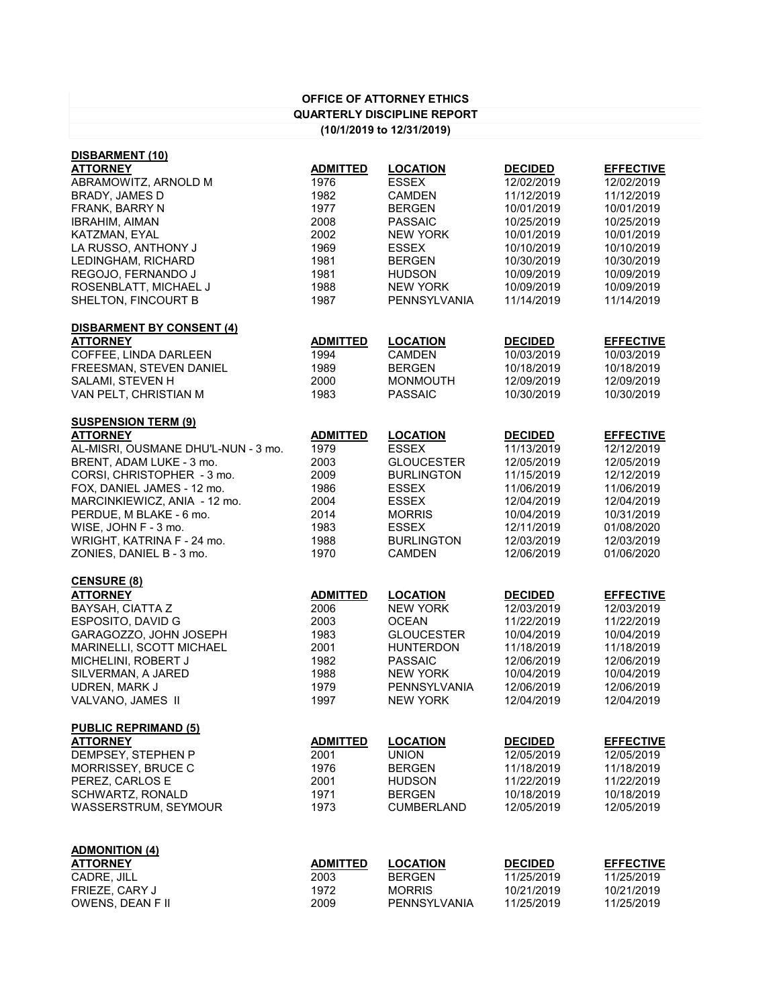| <b>OFFICE OF ATTORNEY ETHICS</b>   |
|------------------------------------|
| <b>QUARTERLY DISCIPLINE REPORT</b> |
| (10/1/2019 to 12/31/2019)          |

| DISBARMENT (10)                                 |                 |                                    |                          |                          |
|-------------------------------------------------|-----------------|------------------------------------|--------------------------|--------------------------|
| <b>ATTORNEY</b>                                 | <b>ADMITTED</b> | <b>LOCATION</b>                    | <b>DECIDED</b>           | <b>EFFECTIVE</b>         |
| ABRAMOWITZ, ARNOLD M                            | 1976            | <b>ESSEX</b>                       | 12/02/2019               | 12/02/2019               |
| <b>BRADY, JAMES D</b>                           | 1982            | <b>CAMDEN</b>                      | 11/12/2019               | 11/12/2019               |
| FRANK, BARRY N                                  | 1977            | <b>BERGEN</b>                      | 10/01/2019               | 10/01/2019               |
| <b>IBRAHIM, AIMAN</b>                           | 2008            | <b>PASSAIC</b>                     | 10/25/2019               | 10/25/2019               |
| KATZMAN, EYAL                                   | 2002            | <b>NEW YORK</b>                    | 10/01/2019               | 10/01/2019               |
| LA RUSSO, ANTHONY J                             | 1969            | <b>ESSEX</b>                       | 10/10/2019               | 10/10/2019               |
| LEDINGHAM, RICHARD                              | 1981            | <b>BERGEN</b>                      | 10/30/2019               | 10/30/2019               |
| REGOJO, FERNANDO J                              | 1981            | <b>HUDSON</b>                      | 10/09/2019               | 10/09/2019               |
| ROSENBLATT, MICHAEL J                           | 1988            | <b>NEW YORK</b>                    | 10/09/2019               | 10/09/2019               |
| SHELTON, FINCOURT B                             | 1987            | <b>PENNSYLVANIA</b>                | 11/14/2019               | 11/14/2019               |
| <b>DISBARMENT BY CONSENT (4)</b>                |                 |                                    |                          |                          |
| <b>ATTORNEY</b>                                 | <b>ADMITTED</b> | <b>LOCATION</b>                    | <b>DECIDED</b>           | <b>EFFECTIVE</b>         |
| <b>COFFEE, LINDA DARLEEN</b>                    | 1994            | <b>CAMDEN</b>                      | 10/03/2019               | 10/03/2019               |
| FREESMAN, STEVEN DANIEL                         | 1989            | <b>BERGEN</b>                      | 10/18/2019               | 10/18/2019               |
| <b>SALAMI, STEVEN H</b>                         | 2000            | <b>MONMOUTH</b>                    | 12/09/2019               | 12/09/2019               |
| VAN PELT, CHRISTIAN M                           | 1983            | <b>PASSAIC</b>                     | 10/30/2019               | 10/30/2019               |
| <b>SUSPENSION TERM (9)</b>                      |                 |                                    |                          |                          |
| <b>ATTORNEY</b>                                 | <b>ADMITTED</b> | <b>LOCATION</b>                    | <b>DECIDED</b>           | <b>EFFECTIVE</b>         |
| AL-MISRI, OUSMANE DHU'L-NUN - 3 mo.             | 1979            | <b>ESSEX</b>                       | 11/13/2019               | 12/12/2019               |
| BRENT, ADAM LUKE - 3 mo.                        | 2003            | <b>GLOUCESTER</b>                  | 12/05/2019               | 12/05/2019               |
| CORSI, CHRISTOPHER - 3 mo.                      | 2009            | <b>BURLINGTON</b>                  | 11/15/2019               | 12/12/2019               |
| FOX, DANIEL JAMES - 12 mo.                      | 1986            | <b>ESSEX</b>                       | 11/06/2019               | 11/06/2019               |
| MARCINKIEWICZ, ANIA - 12 mo.                    | 2004            | <b>ESSEX</b>                       | 12/04/2019               | 12/04/2019               |
| PERDUE, M BLAKE - 6 mo.                         | 2014            | <b>MORRIS</b>                      | 10/04/2019               | 10/31/2019               |
| WISE, JOHN F - 3 mo.                            | 1983            | <b>ESSEX</b>                       | 12/11/2019               | 01/08/2020               |
| WRIGHT, KATRINA F - 24 mo.                      | 1988            | <b>BURLINGTON</b>                  | 12/03/2019               | 12/03/2019               |
| ZONIES, DANIEL B - 3 mo.                        | 1970            | <b>CAMDEN</b>                      | 12/06/2019               | 01/06/2020               |
| <b>CENSURE (8)</b>                              |                 |                                    |                          |                          |
| <b>ATTORNEY</b>                                 | <b>ADMITTED</b> | <b>LOCATION</b>                    | <b>DECIDED</b>           | <b>EFFECTIVE</b>         |
| <b>BAYSAH, CIATTA Z</b>                         | 2006            | <b>NEW YORK</b>                    | 12/03/2019               | 12/03/2019               |
| <b>ESPOSITO, DAVID G</b>                        | 2003            | <b>OCEAN</b>                       | 11/22/2019               | 11/22/2019               |
| GARAGOZZO, JOHN JOSEPH                          | 1983            | <b>GLOUCESTER</b>                  | 10/04/2019               | 10/04/2019               |
| MARINELLI, SCOTT MICHAEL                        | 2001            | <b>HUNTERDON</b>                   | 11/18/2019               | 11/18/2019               |
| MICHELINI, ROBERT J                             | 1982            | <b>PASSAIC</b>                     | 12/06/2019               | 12/06/2019               |
| SILVERMAN, A JARED                              | 1988            | <b>NEW YORK</b>                    | 10/04/2019               | 10/04/2019               |
| UDREN, MARK J                                   | 1979            | <b>PENNSYLVANIA</b>                | 12/06/2019               | 12/06/2019               |
| VALVANO, JAMES II                               | 1997            | <b>NEW YORK</b>                    | 12/04/2019               | 12/04/2019               |
| <b>PUBLIC REPRIMAND (5)</b>                     |                 |                                    |                          |                          |
| <b>ATTORNEY</b>                                 | <b>ADMITTED</b> | <b>LOCATION</b>                    | <b>DECIDED</b>           | <b>EFFECTIVE</b>         |
| DEMPSEY, STEPHEN P                              | 2001            | <b>UNION</b>                       | 12/05/2019               | 12/05/2019               |
| MORRISSEY, BRUCE C                              | 1976            | <b>BERGEN</b>                      | 11/18/2019               | 11/18/2019               |
| PEREZ, CARLOS E                                 | 2001            | <b>HUDSON</b>                      | 11/22/2019               | 11/22/2019               |
| <b>SCHWARTZ, RONALD</b><br>WASSERSTRUM, SEYMOUR | 1971<br>1973    | <b>BERGEN</b><br><b>CUMBERLAND</b> | 10/18/2019<br>12/05/2019 | 10/18/2019<br>12/05/2019 |
|                                                 |                 |                                    |                          |                          |
| <b>ADMONITION (4)</b><br><b>ATTORNEY</b>        | <b>ADMITTED</b> | <b>LOCATION</b>                    | <b>DECIDED</b>           | <b>EFFECTIVE</b>         |
| CADRE, JILL                                     | 2003            | <b>BERGEN</b>                      | 11/25/2019               | 11/25/2019               |
| FRIEZE, CARY J                                  | 1972            | <b>MORRIS</b>                      | 10/21/2019               | 10/21/2019               |
| <b>OWENS, DEAN F II</b>                         | 2009            | <b>PENNSYLVANIA</b>                | 11/25/2019               | 11/25/2019               |
|                                                 |                 |                                    |                          |                          |